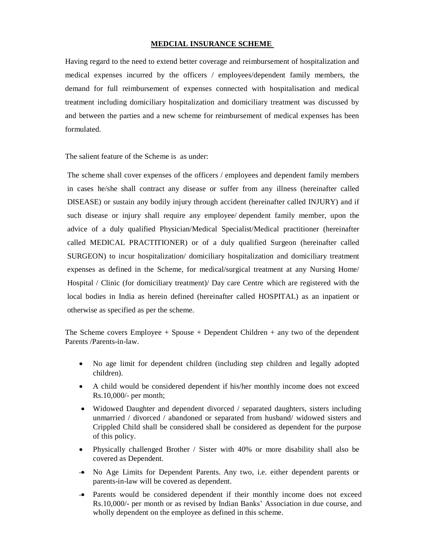# **MEDCIAL INSURANCE SCHEME**

Having regard to the need to extend better coverage and reimbursement of hospitalization and medical expenses incurred by the officers / employees/dependent family members, the demand for full reimbursement of expenses connected with hospitalisation and medical treatment including domiciliary hospitalization and domiciliary treatment was discussed by and between the parties and a new scheme for reimbursement of medical expenses has been formulated.

The salient feature of the Scheme is as under:

The scheme shall cover expenses of the officers / employees and dependent family members in cases he/she shall contract any disease or suffer from any illness (hereinafter called DISEASE) or sustain any bodily injury through accident (hereinafter called INJURY) and if such disease or injury shall require any employee/ dependent family member, upon the advice of a duly qualified Physician/Medical Specialist/Medical practitioner (hereinafter called MEDICAL PRACTITIONER) or of a duly qualified Surgeon (hereinafter called SURGEON) to incur hospitalization/ domiciliary hospitalization and domiciliary treatment expenses as defined in the Scheme, for medical/surgical treatment at any Nursing Home/ Hospital / Clinic (for domiciliary treatment)/ Day care Centre which are registered with the local bodies in India as herein defined (hereinafter called HOSPITAL) as an inpatient or otherwise as specified as per the scheme.

The Scheme covers Employee  $+$  Spouse  $+$  Dependent Children  $+$  any two of the dependent Parents /Parents-in-law.

- No age limit for dependent children (including step children and legally adopted children).
- A child would be considered dependent if his/her monthly income does not exceed Rs.10,000/- per month;
- Widowed Daughter and dependent divorced / separated daughters, sisters including unmarried / divorced / abandoned or separated from husband/ widowed sisters and Crippled Child shall be considered shall be considered as dependent for the purpose of this policy.
- Physically challenged Brother / Sister with 40% or more disability shall also be covered as Dependent.
- No Age Limits for Dependent Parents. Any two, i.e. either dependent parents or parents-in-law will be covered as dependent.
- Parents would be considered dependent if their monthly income does not exceed Rs.10,000/- per month or as revised by Indian Banks' Association in due course, and wholly dependent on the employee as defined in this scheme.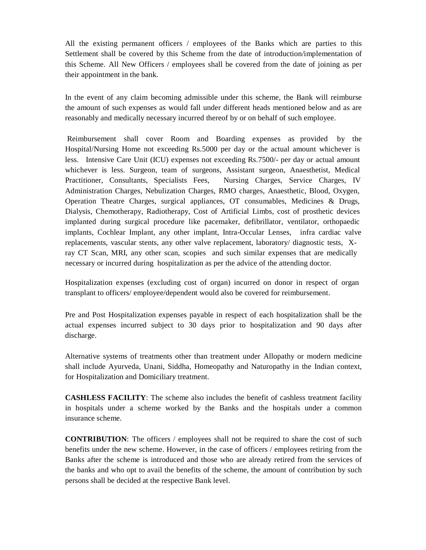All the existing permanent officers / employees of the Banks which are parties to this Settlement shall be covered by this Scheme from the date of introduction/implementation of this Scheme. All New Officers / employees shall be covered from the date of joining as per their appointment in the bank.

In the event of any claim becoming admissible under this scheme, the Bank will reimburse the amount of such expenses as would fall under different heads mentioned below and as are reasonably and medically necessary incurred thereof by or on behalf of such employee.

Reimbursement shall cover Room and Boarding expenses as provided by the Hospital/Nursing Home not exceeding Rs.5000 per day or the actual amount whichever is less. Intensive Care Unit (ICU) expenses not exceeding Rs.7500/- per day or actual amount whichever is less. Surgeon, team of surgeons, Assistant surgeon, Anaesthetist, Medical Practitioner, Consultants, Specialists Fees, Nursing Charges, Service Charges, IV Administration Charges, Nebulization Charges, RMO charges, Anaesthetic, Blood, Oxygen, Operation Theatre Charges, surgical appliances, OT consumables, Medicines & Drugs, Dialysis, Chemotherapy, Radiotherapy, Cost of Artificial Limbs, cost of prosthetic devices implanted during surgical procedure like pacemaker, defibrillator, ventilator, orthopaedic implants, Cochlear Implant, any other implant, Intra-Occular Lenses, infra cardiac valve replacements, vascular stents, any other valve replacement, laboratory/ diagnostic tests, Xray CT Scan, MRI, any other scan, scopies and such similar expenses that are medically necessary or incurred during hospitalization as per the advice of the attending doctor.

Hospitalization expenses (excluding cost of organ) incurred on donor in respect of organ transplant to officers/ employee/dependent would also be covered for reimbursement.

Pre and Post Hospitalization expenses payable in respect of each hospitalization shall be the actual expenses incurred subject to 30 days prior to hospitalization and 90 days after discharge.

Alternative systems of treatments other than treatment under Allopathy or modern medicine shall include Ayurveda, Unani, Siddha, Homeopathy and Naturopathy in the Indian context, for Hospitalization and Domiciliary treatment.

**CASHLESS FACILITY**: The scheme also includes the benefit of cashless treatment facility in hospitals under a scheme worked by the Banks and the hospitals under a common insurance scheme.

**CONTRIBUTION**: The officers / employees shall not be required to share the cost of such benefits under the new scheme. However, in the case of officers / employees retiring from the Banks after the scheme is introduced and those who are already retired from the services of the banks and who opt to avail the benefits of the scheme, the amount of contribution by such persons shall be decided at the respective Bank level.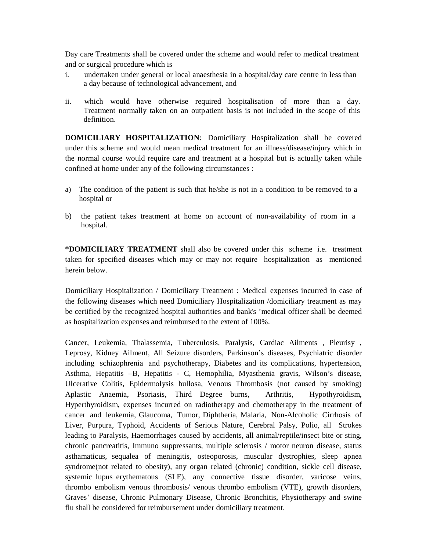Day care Treatments shall be covered under the scheme and would refer to medical treatment and or surgical procedure which is

- i. undertaken under general or local anaesthesia in a hospital/day care centre in less than a day because of technological advancement, and
- ii. which would have otherwise required hospitalisation of more than a day. Treatment normally taken on an outpatient basis is not included in the scope of this definition.

**DOMICILIARY HOSPITALIZATION**: Domiciliary Hospitalization shall be covered under this scheme and would mean medical treatment for an illness/disease/injury which in the normal course would require care and treatment at a hospital but is actually taken while confined at home under any of the following circumstances :

- a) The condition of the patient is such that he/she is not in a condition to be removed to a hospital or
- b) the patient takes treatment at home on account of non-availability of room in a hospital.

**\*DOMICILIARY TREATMENT** shall also be covered under this scheme i.e. treatment taken for specified diseases which may or may not require hospitalization as mentioned herein below.

Domiciliary Hospitalization / Domiciliary Treatment : Medical expenses incurred in case of the following diseases which need Domiciliary Hospitalization /domiciliary treatment as may be certified by the recognized hospital authorities and bank's 'medical officer shall be deemed as hospitalization expenses and reimbursed to the extent of 100%.

Cancer, Leukemia, Thalassemia, Tuberculosis, Paralysis, Cardiac Ailments , Pleurisy , Leprosy, Kidney Ailment, All Seizure disorders, Parkinson's diseases, Psychiatric disorder including schizophrenia and psychotherapy, Diabetes and its complications, hypertension, Asthma, Hepatitis –B, Hepatitis - C, Hemophilia, Myasthenia gravis, Wilson's disease, Ulcerative Colitis, Epidermolysis bullosa, Venous Thrombosis (not caused by smoking) Aplastic Anaemia, Psoriasis, Third Degree burns, Arthritis, Hypothyroidism, Hyperthyroidism, expenses incurred on radiotherapy and chemotherapy in the treatment of cancer and leukemia, Glaucoma, Tumor, Diphtheria, Malaria, Non-Alcoholic Cirrhosis of Liver, Purpura, Typhoid, Accidents of Serious Nature, Cerebral Palsy, Polio, all Strokes leading to Paralysis, Haemorrhages caused by accidents, all animal/reptile/insect bite or sting, chronic pancreatitis, Immuno suppressants, multiple sclerosis / motor neuron disease, status asthamaticus, sequalea of meningitis, osteoporosis, muscular dystrophies, sleep apnea syndrome(not related to obesity), any organ related (chronic) condition, sickle cell disease, systemic lupus erythematous (SLE), any connective tissue disorder, varicose veins, thrombo embolism venous thrombosis/ venous thrombo embolism (VTE), growth disorders, Graves' disease, Chronic Pulmonary Disease, Chronic Bronchitis, Physiotherapy and swine flu shall be considered for reimbursement under domiciliary treatment.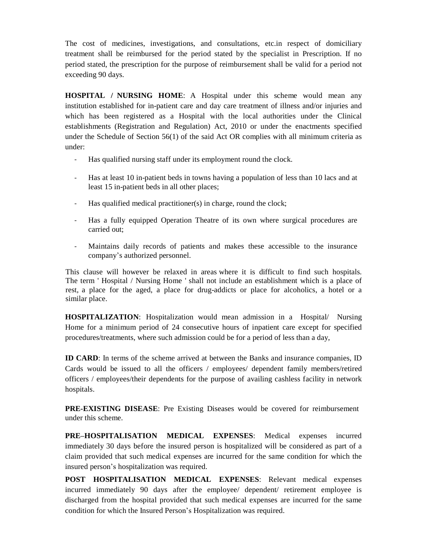The cost of medicines, investigations, and consultations, etc.in respect of domiciliary treatment shall be reimbursed for the period stated by the specialist in Prescription. If no period stated, the prescription for the purpose of reimbursement shall be valid for a period not exceeding 90 days.

**HOSPITAL / NURSING HOME**: A Hospital under this scheme would mean any institution established for in-patient care and day care treatment of illness and/or injuries and which has been registered as a Hospital with the local authorities under the Clinical establishments (Registration and Regulation) Act, 2010 or under the enactments specified under the Schedule of Section 56(1) of the said Act OR complies with all minimum criteria as under:

- Has qualified nursing staff under its employment round the clock.
- Has at least 10 in-patient beds in towns having a population of less than 10 lacs and at least 15 in-patient beds in all other places;
- Has qualified medical practitioner(s) in charge, round the clock;
- Has a fully equipped Operation Theatre of its own where surgical procedures are carried out;
- Maintains daily records of patients and makes these accessible to the insurance company's authorized personnel.

This clause will however be relaxed in areas where it is difficult to find such hospitals. The term ' Hospital / Nursing Home ' shall not include an establishment which is a place of rest, a place for the aged, a place for drug-addicts or place for alcoholics, a hotel or a similar place.

**HOSPITALIZATION**: Hospitalization would mean admission in a Hospital/ Nursing Home for a minimum period of 24 consecutive hours of inpatient care except for specified procedures/treatments, where such admission could be for a period of less than a day,

**ID CARD**: In terms of the scheme arrived at between the Banks and insurance companies, ID Cards would be issued to all the officers / employees/ dependent family members/retired officers / employees/their dependents for the purpose of availing cashless facility in network hospitals.

**PRE-EXISTING DISEASE**: Pre Existing Diseases would be covered for reimbursement under this scheme.

**PRE–HOSPITALISATION MEDICAL EXPENSES**: Medical expenses incurred immediately 30 days before the insured person is hospitalized will be considered as part of a claim provided that such medical expenses are incurred for the same condition for which the insured person's hospitalization was required.

**POST HOSPITALISATION MEDICAL EXPENSES**: Relevant medical expenses incurred immediately 90 days after the employee/ dependent/ retirement employee is discharged from the hospital provided that such medical expenses are incurred for the same condition for which the Insured Person's Hospitalization was required.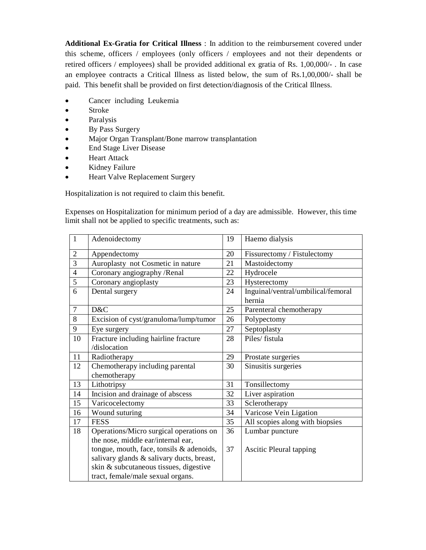**Additional Ex-Gratia for Critical Illness** : In addition to the reimbursement covered under this scheme, officers / employees (only officers / employees and not their dependents or retired officers / employees) shall be provided additional ex gratia of Rs. 1,00,000/- . In case an employee contracts a Critical Illness as listed below, the sum of Rs.1,00,000/- shall be paid. This benefit shall be provided on first detection/diagnosis of the Critical Illness.

- Cancer including Leukemia
- Stroke
- Paralysis
- By Pass Surgery
- Major Organ Transplant/Bone marrow transplantation
- End Stage Liver Disease
- Heart Attack
- Kidney Failure
- Heart Valve Replacement Surgery

Hospitalization is not required to claim this benefit.

Expenses on Hospitalization for minimum period of a day are admissible. However, this time limit shall not be applied to specific treatments, such as:

| $\mathbf{1}$   | Adenoidectomy                             | 19 | Haemo dialysis                     |
|----------------|-------------------------------------------|----|------------------------------------|
| 2              | Appendectomy                              | 20 | Fissurectomy / Fistulectomy        |
| 3              | Auroplasty not Cosmetic in nature         | 21 | Mastoidectomy                      |
| $\overline{4}$ | Coronary angiography / Renal              | 22 | Hydrocele                          |
| 5              | Coronary angioplasty                      | 23 | Hysterectomy                       |
| 6              | Dental surgery                            | 24 | Inguinal/ventral/umbilical/femoral |
|                |                                           |    | hernia                             |
| $\overline{7}$ | D&C                                       | 25 | Parenteral chemotherapy            |
| 8              | Excision of cyst/granuloma/lump/tumor     | 26 | Polypectomy                        |
| 9              | Eye surgery                               | 27 | Septoplasty                        |
| 10             | Fracture including hairline fracture      | 28 | Piles/ fistula                     |
|                | /dislocation                              |    |                                    |
| 11             | Radiotherapy                              | 29 | Prostate surgeries                 |
| 12             | Chemotherapy including parental           | 30 | Sinusitis surgeries                |
|                | chemotherapy                              |    |                                    |
| 13             | Lithotripsy                               | 31 | Tonsillectomy                      |
| 14             | Incision and drainage of abscess          | 32 | Liver aspiration                   |
| 15             | Varicocelectomy                           | 33 | Sclerotherapy                      |
| 16             | Wound suturing                            | 34 | Varicose Vein Ligation             |
| 17             | <b>FESS</b>                               | 35 | All scopies along with biopsies    |
| 18             | Operations/Micro surgical operations on   | 36 | Lumbar puncture                    |
|                | the nose, middle ear/internal ear,        |    |                                    |
|                | tongue, mouth, face, tonsils & adenoids,  | 37 | <b>Ascitic Pleural tapping</b>     |
|                | salivary glands & salivary ducts, breast, |    |                                    |
|                | skin & subcutaneous tissues, digestive    |    |                                    |
|                | tract, female/male sexual organs.         |    |                                    |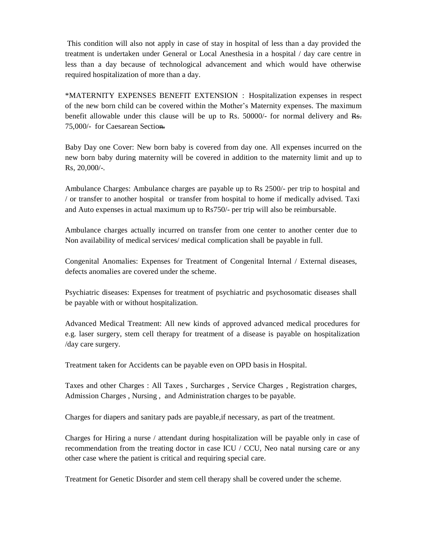This condition will also not apply in case of stay in hospital of less than a day provided the treatment is undertaken under General or Local Anesthesia in a hospital / day care centre in less than a day because of technological advancement and which would have otherwise required hospitalization of more than a day.

\*MATERNITY EXPENSES BENEFIT EXTENSION : Hospitalization expenses in respect of the new born child can be covered within the Mother's Maternity expenses. The maximum benefit allowable under this clause will be up to Rs. 50000/- for normal delivery and Rs. 75,000/- for Caesarean Section.

Baby Day one Cover: New born baby is covered from day one. All expenses incurred on the new born baby during maternity will be covered in addition to the maternity limit and up to Rs, 20,000/-.

Ambulance Charges: Ambulance charges are payable up to Rs 2500/- per trip to hospital and / or transfer to another hospital or transfer from hospital to home if medically advised. Taxi and Auto expenses in actual maximum up to Rs750/- per trip will also be reimbursable.

Ambulance charges actually incurred on transfer from one center to another center due to Non availability of medical services/ medical complication shall be payable in full.

Congenital Anomalies: Expenses for Treatment of Congenital Internal / External diseases, defects anomalies are covered under the scheme.

Psychiatric diseases: Expenses for treatment of psychiatric and psychosomatic diseases shall be payable with or without hospitalization.

Advanced Medical Treatment: All new kinds of approved advanced medical procedures for e.g. laser surgery, stem cell therapy for treatment of a disease is payable on hospitalization /day care surgery.

Treatment taken for Accidents can be payable even on OPD basis in Hospital.

Taxes and other Charges : All Taxes , Surcharges , Service Charges , Registration charges, Admission Charges , Nursing , and Administration charges to be payable.

Charges for diapers and sanitary pads are payable,if necessary, as part of the treatment.

Charges for Hiring a nurse / attendant during hospitalization will be payable only in case of recommendation from the treating doctor in case ICU / CCU, Neo natal nursing care or any other case where the patient is critical and requiring special care.

Treatment for Genetic Disorder and stem cell therapy shall be covered under the scheme.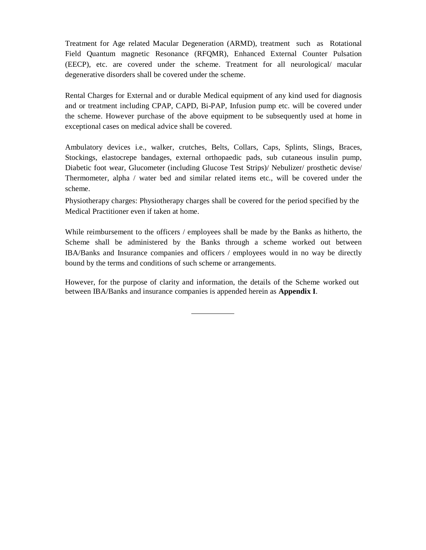Treatment for Age related Macular Degeneration (ARMD), treatment such as Rotational Field Quantum magnetic Resonance (RFQMR), Enhanced External Counter Pulsation (EECP), etc. are covered under the scheme. Treatment for all neurological/ macular degenerative disorders shall be covered under the scheme.

Rental Charges for External and or durable Medical equipment of any kind used for diagnosis and or treatment including CPAP, CAPD, Bi-PAP, Infusion pump etc. will be covered under the scheme. However purchase of the above equipment to be subsequently used at home in exceptional cases on medical advice shall be covered.

Ambulatory devices i.e., walker, crutches, Belts, Collars, Caps, Splints, Slings, Braces, Stockings, elastocrepe bandages, external orthopaedic pads, sub cutaneous insulin pump, Diabetic foot wear, Glucometer (including Glucose Test Strips)/ Nebulizer/ prosthetic devise/ Thermometer, alpha / water bed and similar related items etc., will be covered under the scheme.

Physiotherapy charges: Physiotherapy charges shall be covered for the period specified by the Medical Practitioner even if taken at home.

While reimbursement to the officers / employees shall be made by the Banks as hitherto, the Scheme shall be administered by the Banks through a scheme worked out between IBA/Banks and Insurance companies and officers / employees would in no way be directly bound by the terms and conditions of such scheme or arrangements.

However, for the purpose of clarity and information, the details of the Scheme worked out between IBA/Banks and insurance companies is appended herein as **Appendix I**.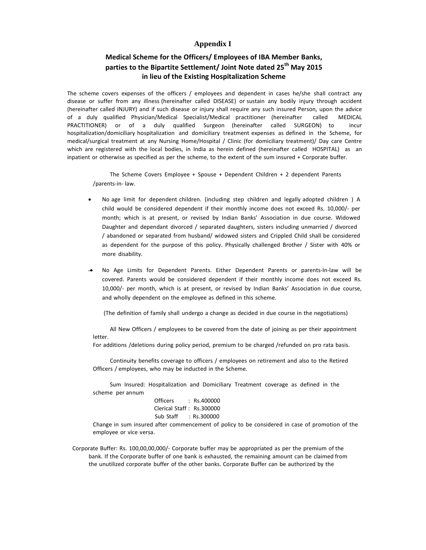# **Appendix I**

# **Medical Scheme for the Officers/ Employees of IBA Member Banks, parties to the Bipartite Settlement/ Joint Note dated 25th May 2015 in lieu of the Existing Hospitalization Scheme**

The scheme covers expenses of the officers / employees and dependent in cases he/she shall contract any disease or suffer from any illness (hereinafter called DISEASE) or sustain any bodily injury through accident (hereinafter called INJURY) and if such disease or injury shall require any such insured Person, upon the advice of a duly qualified Physician/Medical Specialist/Medical practitioner (hereinafter called MEDICAL PRACTITIONER) or of a duly qualified Surgeon (hereinafter called SURGEON) to incur hospitalization/domiciliary hospitalization and domiciliary treatment expenses as defined in the Scheme, for medical/surgical treatment at any Nursing Home/Hospital / Clinic (for domiciliary treatment)/ Day care Centre which are registered with the local bodies, in India as herein defined (hereinafter called HOSPITAL) as an inpatient or otherwise as specified as per the scheme, to the extent of the sum insured + Corporate buffer.

The Scheme Covers Employee + Spouse + Dependent Children + 2 dependent Parents /parents-in- law.

- No age limit for dependent children. (including step children and legally adopted children ) A child would be considered dependent if their monthly income does not exceed Rs. 10,000/- per month; which is at present, or revised by Indian Banks' Association in due course. Widowed Daughter and dependant divorced / separated daughters, sisters including unmarried / divorced / abandoned or separated from husband/ widowed sisters and Crippled Child shall be considered as dependent for the purpose of this policy. Physically challenged Brother / Sister with 40% or more disability.
- No Age Limits for Dependent Parents. Either Dependent Parents or parents-In-law will be covered. Parents would be considered dependent if their monthly income does not exceed Rs. 10,000/- per month, which is at present, or revised by Indian Banks' Association in due course, and wholly dependent on the employee as defined in this scheme.

(The definition of family shall undergo a change as decided in due course in the negotiations)

All New Officers / employees to be covered from the date of joining as per their appointment letter.

For additions /deletions during policy period, premium to be charged /refunded on pro rata basis.

Continuity benefits coverage to officers / employees on retirement and also to the Retired Officers / employees, who may be inducted in the Scheme.

Sum Insured: Hospitalization and Domiciliary Treatment coverage as defined in the scheme per annum

> Officers : Rs.400000 Clerical Staff : Rs.300000 Sub Staff : Rs.300000

Change in sum insured after commencement of policy to be considered in case of promotion of the employee or vice versa.

Corporate Buffer: Rs. 100,00,00,000/- Corporate buffer may be appropriated as per the premium of the bank. If the Corporate buffer of one bank is exhausted, the remaining amount can be claimed from the unutilized corporate buffer of the other banks. Corporate Buffer can be authorized by the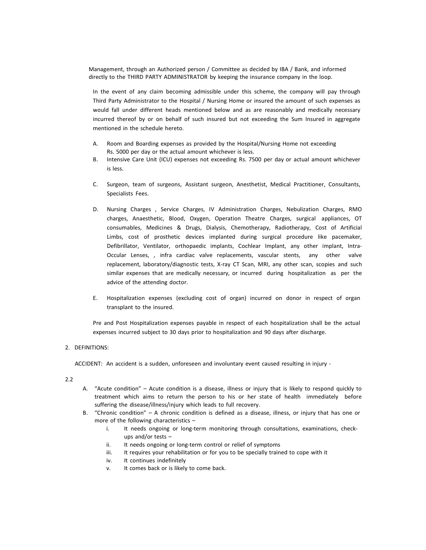Management, through an Authorized person / Committee as decided by IBA / Bank, and informed directly to the THIRD PARTY ADMINISTRATOR by keeping the insurance company in the loop.

In the event of any claim becoming admissible under this scheme, the company will pay through Third Party Administrator to the Hospital / Nursing Home or insured the amount of such expenses as would fall under different heads mentioned below and as are reasonably and medically necessary incurred thereof by or on behalf of such insured but not exceeding the Sum Insured in aggregate mentioned in the schedule hereto.

- A. Room and Boarding expenses as provided by the Hospital/Nursing Home not exceeding Rs. 5000 per day or the actual amount whichever is less.
- B. Intensive Care Unit (ICU) expenses not exceeding Rs. 7500 per day or actual amount whichever is less.
- C. Surgeon, team of surgeons, Assistant surgeon, Anesthetist, Medical Practitioner, Consultants, Specialists Fees.
- D. Nursing Charges , Service Charges, IV Administration Charges, Nebulization Charges, RMO charges, Anaesthetic, Blood, Oxygen, Operation Theatre Charges, surgical appliances, OT consumables, Medicines & Drugs, Dialysis, Chemotherapy, Radiotherapy, Cost of Artificial Limbs, cost of prosthetic devices implanted during surgical procedure like pacemaker, Defibrillator, Ventilator, orthopaedic implants, Cochlear Implant, any other implant, Intra-Occular Lenses, , infra cardiac valve replacements, vascular stents, any other valve replacement, laboratory/diagnostic tests, X-ray CT Scan, MRI, any other scan, scopies and such similar expenses that are medically necessary, or incurred during hospitalization as per the advice of the attending doctor.
- E. Hospitalization expenses (excluding cost of organ) incurred on donor in respect of organ transplant to the insured.

Pre and Post Hospitalization expenses payable in respect of each hospitalization shall be the actual expenses incurred subject to 30 days prior to hospitalization and 90 days after discharge.

# 2. DEFINITIONS:

ACCIDENT: An accident is a sudden, unforeseen and involuntary event caused resulting in injury -

# 2.2

- A. "Acute condition" Acute condition is a disease, illness or injury that is likely to respond quickly to treatment which aims to return the person to his or her state of health immediately before suffering the disease/illness/injury which leads to full recovery.
- B. "Chronic condition" A chronic condition is defined as a disease, illness, or injury that has one or more of the following characteristics –
	- i. It needs ongoing or long-term monitoring through consultations, examinations, checkups and/or tests –
	- ii. It needs ongoing or long-term control or relief of symptoms
	- iii. It requires your rehabilitation or for you to be specially trained to cope with it
	- iv. It continues indefinitely
	- v. It comes back or is likely to come back.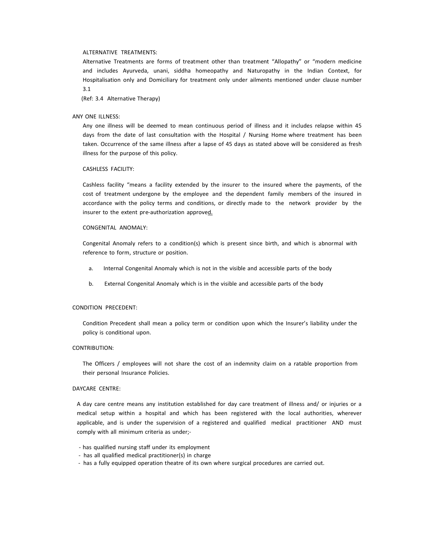#### ALTERNATIVE TREATMENTS:

Alternative Treatments are forms of treatment other than treatment "Allopathy" or "modern medicine and includes Ayurveda, unani, siddha homeopathy and Naturopathy in the Indian Context, for Hospitalisation only and Domiciliary for treatment only under ailments mentioned under clause number 3.1

(Ref: 3.4 Alternative Therapy)

#### ANY ONE ILLNESS:

Any one illness will be deemed to mean continuous period of illness and it includes relapse within 45 days from the date of last consultation with the Hospital / Nursing Home where treatment has been taken. Occurrence of the same illness after a lapse of 45 days as stated above will be considered as fresh illness for the purpose of this policy.

# CASHLESS FACILITY:

Cashless facility "means a facility extended by the insurer to the insured where the payments, of the cost of treatment undergone by the employee and the dependent family members of the insured in accordance with the policy terms and conditions, or directly made to the network provider by the insurer to the extent pre-authorization approved.

#### CONGENITAL ANOMALY:

Congenital Anomaly refers to a condition(s) which is present since birth, and which is abnormal with reference to form, structure or position.

- a. Internal Congenital Anomaly which is not in the visible and accessible parts of the body
- b. External Congenital Anomaly which is in the visible and accessible parts of the body

#### CONDITION PRECEDENT:

Condition Precedent shall mean a policy term or condition upon which the Insurer's liability under the policy is conditional upon.

## CONTRIBUTION:

The Officers / employees will not share the cost of an indemnity claim on a ratable proportion from their personal Insurance Policies.

# DAYCARE CENTRE:

A day care centre means any institution established for day care treatment of illness and/ or injuries or a medical setup within a hospital and which has been registered with the local authorities, wherever applicable, and is under the supervision of a registered and qualified medical practitioner AND must comply with all minimum criteria as under;-

- has qualified nursing staff under its employment
- has all qualified medical practitioner(s) in charge
- has a fully equipped operation theatre of its own where surgical procedures are carried out.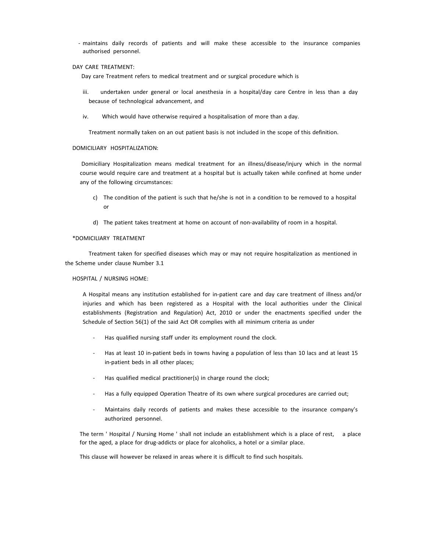- maintains daily records of patients and will make these accessible to the insurance companies authorised personnel.

## DAY CARE TREATMENT:

Day care Treatment refers to medical treatment and or surgical procedure which is

- iii. undertaken under general or local anesthesia in a hospital/day care Centre in less than a day because of technological advancement, and
- iv. Which would have otherwise required a hospitalisation of more than a day.

Treatment normally taken on an out patient basis is not included in the scope of this definition.

#### DOMICILIARY HOSPITALIZATION:

Domiciliary Hospitalization means medical treatment for an illness/disease/injury which in the normal course would require care and treatment at a hospital but is actually taken while confined at home under any of the following circumstances:

- c) The condition of the patient is such that he/she is not in a condition to be removed to a hospital or
- d) The patient takes treatment at home on account of non-availability of room in a hospital.

## \*DOMICILIARY TREATMENT

Treatment taken for specified diseases which may or may not require hospitalization as mentioned in the Scheme under clause Number 3.1

## HOSPITAL / NURSING HOME:

A Hospital means any institution established for in-patient care and day care treatment of illness and/or injuries and which has been registered as a Hospital with the local authorities under the Clinical establishments (Registration and Regulation) Act, 2010 or under the enactments specified under the Schedule of Section 56(1) of the said Act OR complies with all minimum criteria as under

- Has qualified nursing staff under its employment round the clock.
- Has at least 10 in-patient beds in towns having a population of less than 10 lacs and at least 15 in-patient beds in all other places;
- Has qualified medical practitioner(s) in charge round the clock;
- Has a fully equipped Operation Theatre of its own where surgical procedures are carried out;
- Maintains daily records of patients and makes these accessible to the insurance company's authorized personnel.

The term ' Hospital / Nursing Home ' shall not include an establishment which is a place of rest, a place for the aged, a place for drug-addicts or place for alcoholics, a hotel or a similar place.

This clause will however be relaxed in areas where it is difficult to find such hospitals.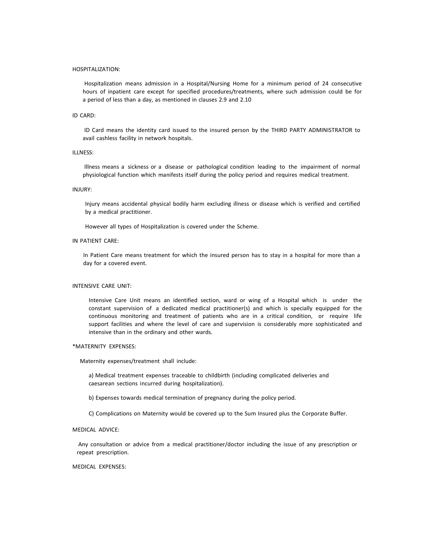#### HOSPITALIZATION:

Hospitalization means admission in a Hospital/Nursing Home for a minimum period of 24 consecutive hours of inpatient care except for specified procedures/treatments, where such admission could be for a period of less than a day, as mentioned in clauses 2.9 and 2.10

#### ID CARD:

ID Card means the identity card issued to the insured person by the THIRD PARTY ADMINISTRATOR to avail cashless facility in network hospitals.

# ILLNESS:

Illness means a sickness or a disease or pathological condition leading to the impairment of normal physiological function which manifests itself during the policy period and requires medical treatment.

# INJURY:

Injury means accidental physical bodily harm excluding illness or disease which is verified and certified by a medical practitioner.

However all types of Hospitalization is covered under the Scheme.

# IN PATIENT CARE:

In Patient Care means treatment for which the insured person has to stay in a hospital for more than a day for a covered event.

#### INTENSIVE CARE UNIT:

Intensive Care Unit means an identified section, ward or wing of a Hospital which is under the constant supervision of a dedicated medical practitioner(s) and which is specially equipped for the continuous monitoring and treatment of patients who are in a critical condition, or require life support facilities and where the level of care and supervision is considerably more sophisticated and intensive than in the ordinary and other wards.

#### \*MATERNITY EXPENSES:

Maternity expenses/treatment shall include:

a) Medical treatment expenses traceable to childbirth (including complicated deliveries and caesarean sections incurred during hospitalization).

b) Expenses towards medical termination of pregnancy during the policy period.

C) Complications on Maternity would be covered up to the Sum Insured plus the Corporate Buffer.

# MEDICAL ADVICE:

Any consultation or advice from a medical practitioner/doctor including the issue of any prescription or repeat prescription.

#### MEDICAL EXPENSES: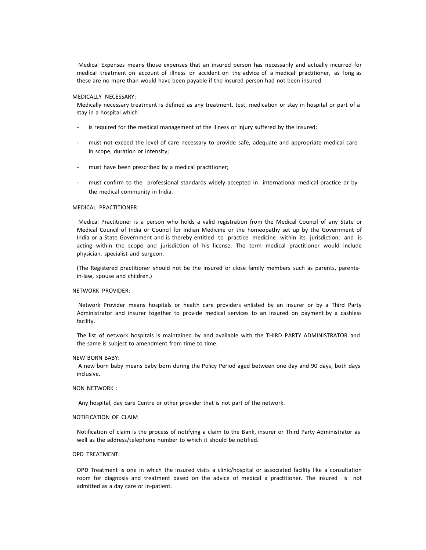Medical Expenses means those expenses that an insured person has necessarily and actually incurred for medical treatment on account of illness or accident on the advice of a medical practitioner, as long as these are no more than would have been payable if the insured person had not been insured.

#### MEDICALLY NECESSARY:

Medically necessary treatment is defined as any treatment, test, medication or stay in hospital or part of a stay in a hospital which

- is required for the medical management of the illness or injury suffered by the insured;
- must not exceed the level of care necessary to provide safe, adequate and appropriate medical care in scope, duration or intensity;
- must have been prescribed by a medical practitioner;
- must confirm to the professional standards widely accepted in international medical practice or by the medical community in India.

## MEDICAL PRACTITIONER:

Medical Practitioner is a person who holds a valid registration from the Medical Council of any State or Medical Council of India or Council for Indian Medicine or the homeopathy set up by the Government of India or a State Government and is thereby entitled to practice medicine within its jurisdiction; and is acting within the scope and jurisdiction of his license. The term medical practitioner would include physician, specialist and surgeon.

(The Registered practitioner should not be the insured or close family members such as parents, parentsin-law, spouse and children.)

# NETWORK PROVIDER:

Network Provider means hospitals or health care providers enlisted by an insurer or by a Third Party Administrator and insurer together to provide medical services to an insured on payment by a cashless facility.

The list of network hospitals is maintained by and available with the THIRD PARTY ADMINISTRATOR and the same is subject to amendment from time to time.

#### NEW BORN BABY:

A new born baby means baby born during the Policy Period aged between one day and 90 days, both days inclusive.

# NON NETWORK :

Any hospital, day care Centre or other provider that is not part of the network.

# NOTIFICATION OF CLAIM

Notification of claim is the process of notifying a claim to the Bank, insurer or Third Party Administrator as well as the address/telephone number to which it should be notified.

## OPD TREATMENT:

OPD Treatment is one in which the insured visits a clinic/hospital or associated facility like a consultation room for diagnosis and treatment based on the advice of medical a practitioner. The insured is not admitted as a day care or in-patient.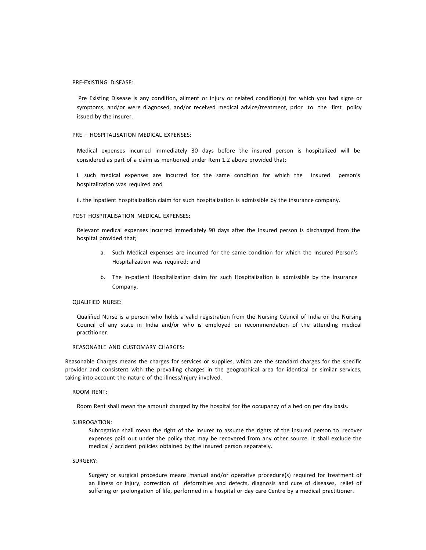#### PRE-EXISTING DISEASE:

Pre Existing Disease is any condition, ailment or injury or related condition(s) for which you had signs or symptoms, and/or were diagnosed, and/or received medical advice/treatment, prior to the first policy issued by the insurer.

#### PRE – HOSPITALISATION MEDICAL EXPENSES:

Medical expenses incurred immediately 30 days before the insured person is hospitalized will be considered as part of a claim as mentioned under Item 1.2 above provided that;

i. such medical expenses are incurred for the same condition for which the insured person's hospitalization was required and

ii. the inpatient hospitalization claim for such hospitalization is admissible by the insurance company.

#### POST HOSPITALISATION MEDICAL EXPENSES:

Relevant medical expenses incurred immediately 90 days after the Insured person is discharged from the hospital provided that;

- a. Such Medical expenses are incurred for the same condition for which the Insured Person's Hospitalization was required; and
- b. The In-patient Hospitalization claim for such Hospitalization is admissible by the Insurance Company.

#### QUALIFIED NURSE:

Qualified Nurse is a person who holds a valid registration from the Nursing Council of India or the Nursing Council of any state in India and/or who is employed on recommendation of the attending medical practitioner.

#### REASONABLE AND CUSTOMARY CHARGES:

Reasonable Charges means the charges for services or supplies, which are the standard charges for the specific provider and consistent with the prevailing charges in the geographical area for identical or similar services, taking into account the nature of the illness/injury involved.

#### ROOM RENT:

Room Rent shall mean the amount charged by the hospital for the occupancy of a bed on per day basis.

#### SUBROGATION:

Subrogation shall mean the right of the insurer to assume the rights of the insured person to recover expenses paid out under the policy that may be recovered from any other source. It shall exclude the medical / accident policies obtained by the insured person separately.

# SURGERY:

Surgery or surgical procedure means manual and/or operative procedure(s) required for treatment of an illness or injury, correction of deformities and defects, diagnosis and cure of diseases, relief of suffering or prolongation of life, performed in a hospital or day care Centre by a medical practitioner.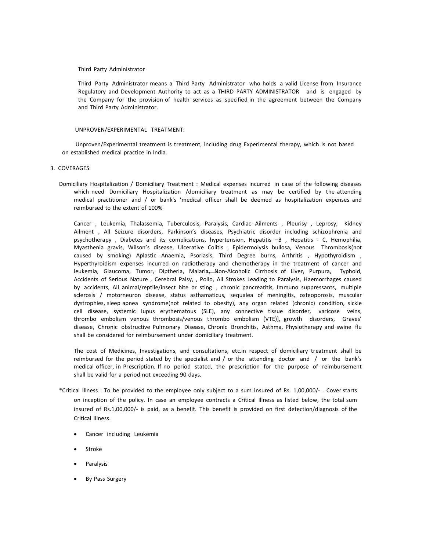#### Third Party Administrator

Third Party Administrator means a Third Party Administrator who holds a valid License from Insurance Regulatory and Development Authority to act as a THIRD PARTY ADMINISTRATOR and is engaged by the Company for the provision of health services as specified in the agreement between the Company and Third Party Administrator.

## UNPROVEN/EXPERIMENTAL TREATMENT:

Unproven/Experimental treatment is treatment, including drug Experimental therapy, which is not based on established medical practice in India.

# 3. COVERAGES:

Domiciliary Hospitalization / Domiciliary Treatment : Medical expenses incurred in case of the following diseases which need Domiciliary Hospitalization /domiciliary treatment as may be certified by the attending medical practitioner and / or bank's 'medical officer shall be deemed as hospitalization expenses and reimbursed to the extent of 100%

Cancer , Leukemia, Thalassemia, Tuberculosis, Paralysis, Cardiac Ailments , Pleurisy , Leprosy, Kidney Ailment , All Seizure disorders, Parkinson's diseases, Psychiatric disorder including schizophrenia and psychotherapy , Diabetes and its complications, hypertension, Hepatitis –B , Hepatitis - C, Hemophilia, Myasthenia gravis, Wilson's disease, Ulcerative Colitis , Epidermolysis bullosa, Venous Thrombosis(not caused by smoking) Aplastic Anaemia, Psoriasis, Third Degree burns, Arthritis , Hypothyroidism , Hyperthyroidism expenses incurred on radiotherapy and chemotherapy in the treatment of cancer and leukemia, Glaucoma, Tumor, Diptheria, Malaria, Non-Alcoholic Cirrhosis of Liver, Purpura, Typhoid, Accidents of Serious Nature , Cerebral Palsy, , Polio, All Strokes Leading to Paralysis, Haemorrhages caused by accidents, All animal/reptile/insect bite or sting , chronic pancreatitis, Immuno suppressants, multiple sclerosis / motorneuron disease, status asthamaticus, sequalea of meningitis, osteoporosis, muscular dystrophies, sleep apnea syndrome(not related to obesity), any organ related (chronic) condition, sickle cell disease, systemic lupus erythematous (SLE), any connective tissue disorder, varicose veins, thrombo embolism venous thrombosis/venous thrombo embolism (VTE)], growth disorders, Graves' disease, Chronic obstructive Pulmonary Disease, Chronic Bronchitis, Asthma, Physiotherapy and swine flu shall be considered for reimbursement under domiciliary treatment.

The cost of Medicines, Investigations, and consultations, etc.in respect of domiciliary treatment shall be reimbursed for the period stated by the specialist and / or the attending doctor and / or the bank's medical officer, in Prescription. If no period stated, the prescription for the purpose of reimbursement shall be valid for a period not exceeding 90 days.

- \*Critical Illness : To be provided to the employee only subject to a sum insured of Rs. 1,00,000/- . Cover starts on inception of the policy. In case an employee contracts a Critical Illness as listed below, the total sum insured of Rs.1,00,000/- is paid, as a benefit. This benefit is provided on first detection/diagnosis of the Critical Illness.
	- Cancer including Leukemia
	- Stroke
	- Paralysis
	- By Pass Surgery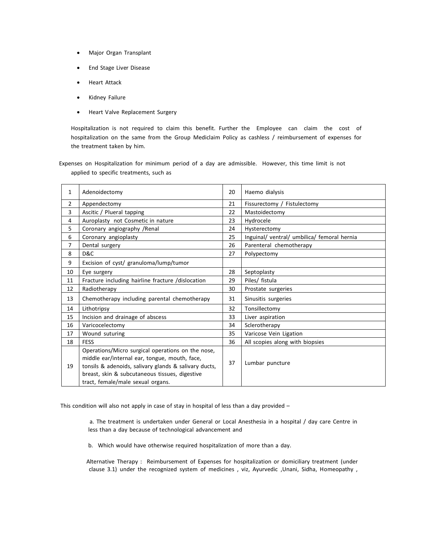- Major Organ Transplant
- End Stage Liver Disease
- Heart Attack
- Kidney Failure
- Heart Valve Replacement Surgery

Hospitalization is not required to claim this benefit. Further the Employee can claim the cost of hospitalization on the same from the Group Mediclaim Policy as cashless / reimbursement of expenses for the treatment taken by him.

Expenses on Hospitalization for minimum period of a day are admissible. However, this time limit is not applied to specific treatments, such as

| $\mathbf{1}$   | Adenoidectomy                                                                                                                                                                                                                                      | 20 | Haemo dialysis                              |
|----------------|----------------------------------------------------------------------------------------------------------------------------------------------------------------------------------------------------------------------------------------------------|----|---------------------------------------------|
| $\overline{2}$ | Appendectomy                                                                                                                                                                                                                                       | 21 | Fissurectomy / Fistulectomy                 |
| 3              | Ascitic / Plueral tapping                                                                                                                                                                                                                          | 22 | Mastoidectomy                               |
| 4              | Auroplasty not Cosmetic in nature                                                                                                                                                                                                                  | 23 | Hydrocele                                   |
| 5              | Coronary angiography / Renal                                                                                                                                                                                                                       | 24 | Hysterectomy                                |
| 6              | Coronary angioplasty                                                                                                                                                                                                                               | 25 | Inguinal/ ventral/ umbilica/ femoral hernia |
| 7              | Dental surgery                                                                                                                                                                                                                                     | 26 | Parenteral chemotherapy                     |
| 8              | D&C                                                                                                                                                                                                                                                | 27 | Polypectomy                                 |
| 9              | Excision of cyst/ granuloma/lump/tumor                                                                                                                                                                                                             |    |                                             |
| 10             | Eye surgery                                                                                                                                                                                                                                        | 28 | Septoplasty                                 |
| 11             | Fracture including hairline fracture /dislocation                                                                                                                                                                                                  | 29 | Piles/ fistula                              |
| 12             | Radiotherapy                                                                                                                                                                                                                                       | 30 | Prostate surgeries                          |
| 13             | Chemotherapy including parental chemotherapy                                                                                                                                                                                                       | 31 | Sinusitis surgeries                         |
| 14             | Lithotripsy                                                                                                                                                                                                                                        | 32 | Tonsillectomy                               |
| 15             | Incision and drainage of abscess                                                                                                                                                                                                                   | 33 | Liver aspiration                            |
| 16             | Varicocelectomy                                                                                                                                                                                                                                    | 34 | Sclerotherapy                               |
| 17             | Wound suturing                                                                                                                                                                                                                                     | 35 | Varicose Vein Ligation                      |
| 18             | <b>FESS</b>                                                                                                                                                                                                                                        | 36 | All scopies along with biopsies             |
| 19             | Operations/Micro surgical operations on the nose,<br>middle ear/internal ear, tongue, mouth, face,<br>tonsils & adenoids, salivary glands & salivary ducts,<br>breast, skin & subcutaneous tissues, digestive<br>tract, female/male sexual organs. | 37 | Lumbar puncture                             |

This condition will also not apply in case of stay in hospital of less than a day provided –

a. The treatment is undertaken under General or Local Anesthesia in a hospital / day care Centre in less than a day because of technological advancement and

b. Which would have otherwise required hospitalization of more than a day.

Alternative Therapy : Reimbursement of Expenses for hospitalization or domiciliary treatment (under clause 3.1) under the recognized system of medicines , viz, Ayurvedic ,Unani, Sidha, Homeopathy ,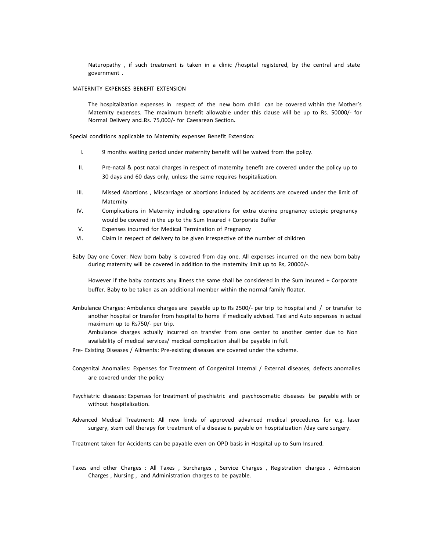Naturopathy , if such treatment is taken in a clinic /hospital registered, by the central and state government .

# MATERNITY EXPENSES BENEFIT EXTENSION

The hospitalization expenses in respect of the new born child can be covered within the Mother's Maternity expenses. The maximum benefit allowable under this clause will be up to Rs. 50000/- for Normal Delivery and Rs. 75,000/- for Caesarean Section.

Special conditions applicable to Maternity expenses Benefit Extension:

- I. 9 months waiting period under maternity benefit will be waived from the policy.
- II. Pre-natal & post natal charges in respect of maternity benefit are covered under the policy up to 30 days and 60 days only, unless the same requires hospitalization.
- III. Missed Abortions , Miscarriage or abortions induced by accidents are covered under the limit of Maternity
- IV. Complications in Maternity including operations for extra uterine pregnancy ectopic pregnancy would be covered in the up to the Sum Insured + Corporate Buffer
- V. Expenses incurred for Medical Termination of Pregnancy
- VI. Claim in respect of delivery to be given irrespective of the number of children
- Baby Day one Cover: New born baby is covered from day one. All expenses incurred on the new born baby during maternity will be covered in addition to the maternity limit up to Rs, 20000/-.

However if the baby contacts any illness the same shall be considered in the Sum Insured + Corporate buffer. Baby to be taken as an additional member within the normal family floater.

Ambulance Charges: Ambulance charges are payable up to Rs 2500/- per trip to hospital and / or transfer to another hospital or transfer from hospital to home if medically advised. Taxi and Auto expenses in actual maximum up to Rs750/- per trip.

Ambulance charges actually incurred on transfer from one center to another center due to Non availability of medical services/ medical complication shall be payable in full.

- Pre- Existing Diseases / Ailments: Pre-existing diseases are covered under the scheme.
- Congenital Anomalies: Expenses for Treatment of Congenital Internal / External diseases, defects anomalies are covered under the policy
- Psychiatric diseases: Expenses for treatment of psychiatric and psychosomatic diseases be payable with or without hospitalization.
- Advanced Medical Treatment: All new kinds of approved advanced medical procedures for e.g. laser surgery, stem cell therapy for treatment of a disease is payable on hospitalization /day care surgery.

Treatment taken for Accidents can be payable even on OPD basis in Hospital up to Sum Insured.

Taxes and other Charges : All Taxes , Surcharges , Service Charges , Registration charges , Admission Charges , Nursing , and Administration charges to be payable.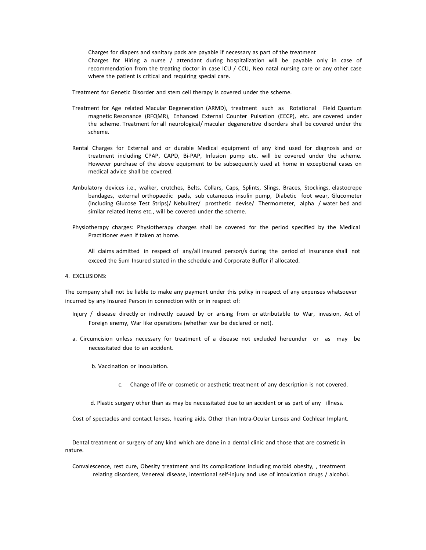Charges for diapers and sanitary pads are payable if necessary as part of the treatment Charges for Hiring a nurse / attendant during hospitalization will be payable only in case of recommendation from the treating doctor in case ICU / CCU, Neo natal nursing care or any other case where the patient is critical and requiring special care.

Treatment for Genetic Disorder and stem cell therapy is covered under the scheme.

- Treatment for Age related Macular Degeneration (ARMD), treatment such as Rotational Field Quantum magnetic Resonance (RFQMR), Enhanced External Counter Pulsation (EECP), etc. are covered under the scheme. Treatment for all neurological/ macular degenerative disorders shall be covered under the scheme.
- Rental Charges for External and or durable Medical equipment of any kind used for diagnosis and or treatment including CPAP, CAPD, Bi-PAP, Infusion pump etc. will be covered under the scheme. However purchase of the above equipment to be subsequently used at home in exceptional cases on medical advice shall be covered.
- Ambulatory devices i.e., walker, crutches, Belts, Collars, Caps, Splints, Slings, Braces, Stockings, elastocrepe bandages, external orthopaedic pads, sub cutaneous insulin pump, Diabetic foot wear, Glucometer (including Glucose Test Strips)/ Nebulizer/ prosthetic devise/ Thermometer, alpha / water bed and similar related items etc., will be covered under the scheme.
- Physiotherapy charges: Physiotherapy charges shall be covered for the period specified by the Medical Practitioner even if taken at home.

All claims admitted in respect of any/all insured person/s during the period of insurance shall not exceed the Sum Insured stated in the schedule and Corporate Buffer if allocated.

4. EXCLUSIONS:

The company shall not be liable to make any payment under this policy in respect of any expenses whatsoever incurred by any Insured Person in connection with or in respect of:

- Injury / disease directly or indirectly caused by or arising from or attributable to War, invasion, Act of Foreign enemy, War like operations (whether war be declared or not).
- a. Circumcision unless necessary for treatment of a disease not excluded hereunder or as may be necessitated due to an accident.
	- b. Vaccination or inoculation.
		- c. Change of life or cosmetic or aesthetic treatment of any description is not covered.
	- d. Plastic surgery other than as may be necessitated due to an accident or as part of any illness.

Cost of spectacles and contact lenses, hearing aids. Other than Intra-Ocular Lenses and Cochlear Implant.

Dental treatment or surgery of any kind which are done in a dental clinic and those that are cosmetic in nature.

Convalescence, rest cure, Obesity treatment and its complications including morbid obesity, , treatment relating disorders, Venereal disease, intentional self-injury and use of intoxication drugs / alcohol.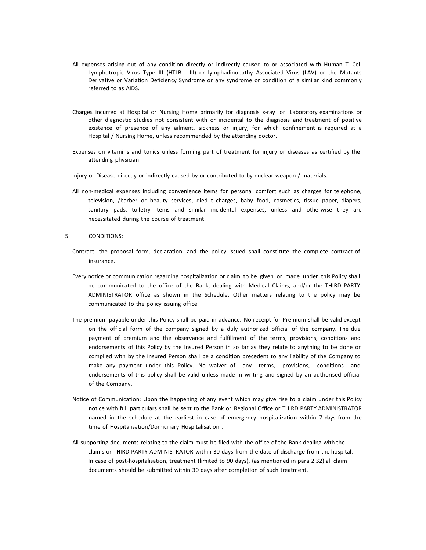- All expenses arising out of any condition directly or indirectly caused to or associated with Human T- Cell Lymphotropic Virus Type III (HTLB - III) or lymphadinopathy Associated Virus (LAV) or the Mutants Derivative or Variation Deficiency Syndrome or any syndrome or condition of a similar kind commonly referred to as AIDS.
- Charges incurred at Hospital or Nursing Home primarily for diagnosis x-ray or Laboratory examinations or other diagnostic studies not consistent with or incidental to the diagnosis and treatment of positive existence of presence of any ailment, sickness or injury, for which confinement is required at a Hospital / Nursing Home, unless recommended by the attending doctor.
- Expenses on vitamins and tonics unless forming part of treatment for injury or diseases as certified by the attending physician
- Injury or Disease directly or indirectly caused by or contributed to by nuclear weapon / materials.
- All non-medical expenses including convenience items for personal comfort such as charges for telephone, television, /barber or beauty services, died-t charges, baby food, cosmetics, tissue paper, diapers, sanitary pads, toiletry items and similar incidental expenses, unless and otherwise they are necessitated during the course of treatment.

5. CONDITIONS:

- Contract: the proposal form, declaration, and the policy issued shall constitute the complete contract of insurance.
- Every notice or communication regarding hospitalization or claim to be given or made under this Policy shall be communicated to the office of the Bank, dealing with Medical Claims, and/or the THIRD PARTY ADMINISTRATOR office as shown in the Schedule. Other matters relating to the policy may be communicated to the policy issuing office.
- The premium payable under this Policy shall be paid in advance. No receipt for Premium shall be valid except on the official form of the company signed by a duly authorized official of the company. The due payment of premium and the observance and fulfillment of the terms, provisions, conditions and endorsements of this Policy by the Insured Person in so far as they relate to anything to be done or complied with by the Insured Person shall be a condition precedent to any liability of the Company to make any payment under this Policy. No waiver of any terms, provisions, conditions and endorsements of this policy shall be valid unless made in writing and signed by an authorised official of the Company.
- Notice of Communication: Upon the happening of any event which may give rise to a claim under this Policy notice with full particulars shall be sent to the Bank or Regional Office or THIRD PARTY ADMINISTRATOR named in the schedule at the earliest in case of emergency hospitalization within 7 days from the time of Hospitalisation/Domiciliary Hospitalisation .
- All supporting documents relating to the claim must be filed with the office of the Bank dealing with the claims or THIRD PARTY ADMINISTRATOR within 30 days from the date of discharge from the hospital. In case of post-hospitalisation, treatment (limited to 90 days), (as mentioned in para 2.32) all claim documents should be submitted within 30 days after completion of such treatment.